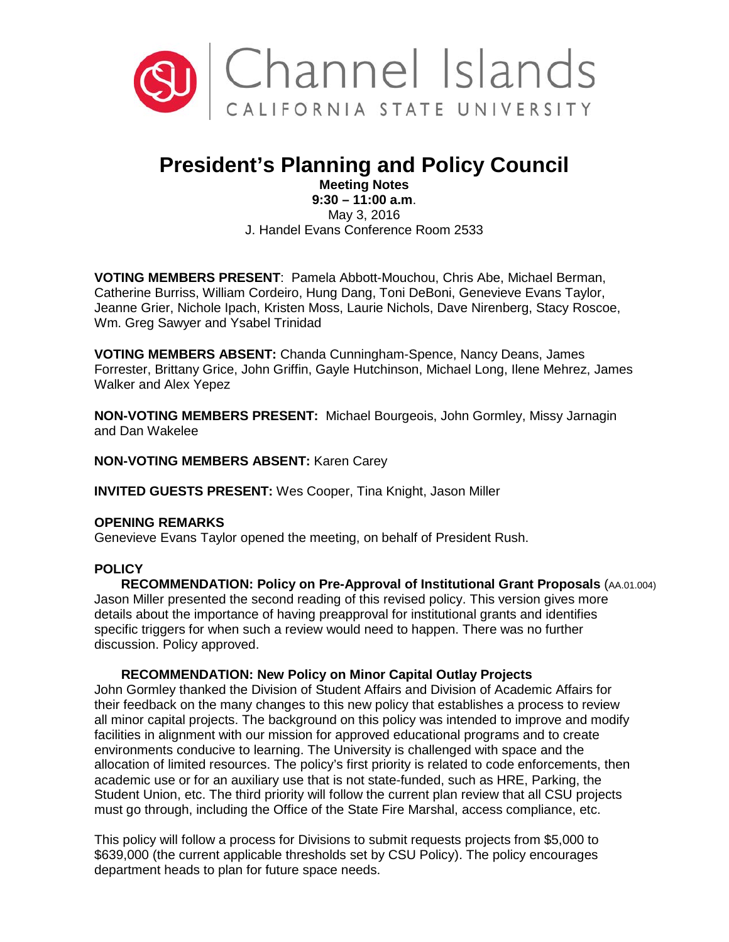

# **President's Planning and Policy Council**

#### **Meeting Notes 9:30 – 11:00 a.m**. May 3, 2016 J. Handel Evans Conference Room 2533

**VOTING MEMBERS PRESENT**: Pamela Abbott-Mouchou, Chris Abe, Michael Berman, Catherine Burriss, William Cordeiro, Hung Dang, Toni DeBoni, Genevieve Evans Taylor, Jeanne Grier, Nichole Ipach, Kristen Moss, Laurie Nichols, Dave Nirenberg, Stacy Roscoe, Wm. Greg Sawyer and Ysabel Trinidad

**VOTING MEMBERS ABSENT:** Chanda Cunningham-Spence, Nancy Deans, James Forrester, Brittany Grice, John Griffin, Gayle Hutchinson, Michael Long, Ilene Mehrez, James Walker and Alex Yepez

**NON-VOTING MEMBERS PRESENT:** Michael Bourgeois, John Gormley, Missy Jarnagin and Dan Wakelee

**NON-VOTING MEMBERS ABSENT:** Karen Carey

**INVITED GUESTS PRESENT:** Wes Cooper, Tina Knight, Jason Miller

#### **OPENING REMARKS**

Genevieve Evans Taylor opened the meeting, on behalf of President Rush.

## **POLICY**

#### **RECOMMENDATION: Policy on Pre-Approval of Institutional Grant Proposals** (AA.01.004) Jason Miller presented the second reading of this revised policy. This version gives more details about the importance of having preapproval for institutional grants and identifies

specific triggers for when such a review would need to happen. There was no further discussion. Policy approved.

## **RECOMMENDATION: New Policy on Minor Capital Outlay Projects**

John Gormley thanked the Division of Student Affairs and Division of Academic Affairs for their feedback on the many changes to this new policy that establishes a process to review all minor capital projects. The background on this policy was intended to improve and modify facilities in alignment with our mission for approved educational programs and to create environments conducive to learning. The University is challenged with space and the allocation of limited resources. The policy's first priority is related to code enforcements, then academic use or for an auxiliary use that is not state-funded, such as HRE, Parking, the Student Union, etc. The third priority will follow the current plan review that all CSU projects must go through, including the Office of the State Fire Marshal, access compliance, etc.

This policy will follow a process for Divisions to submit requests projects from \$5,000 to \$639,000 (the current applicable thresholds set by CSU Policy). The policy encourages department heads to plan for future space needs.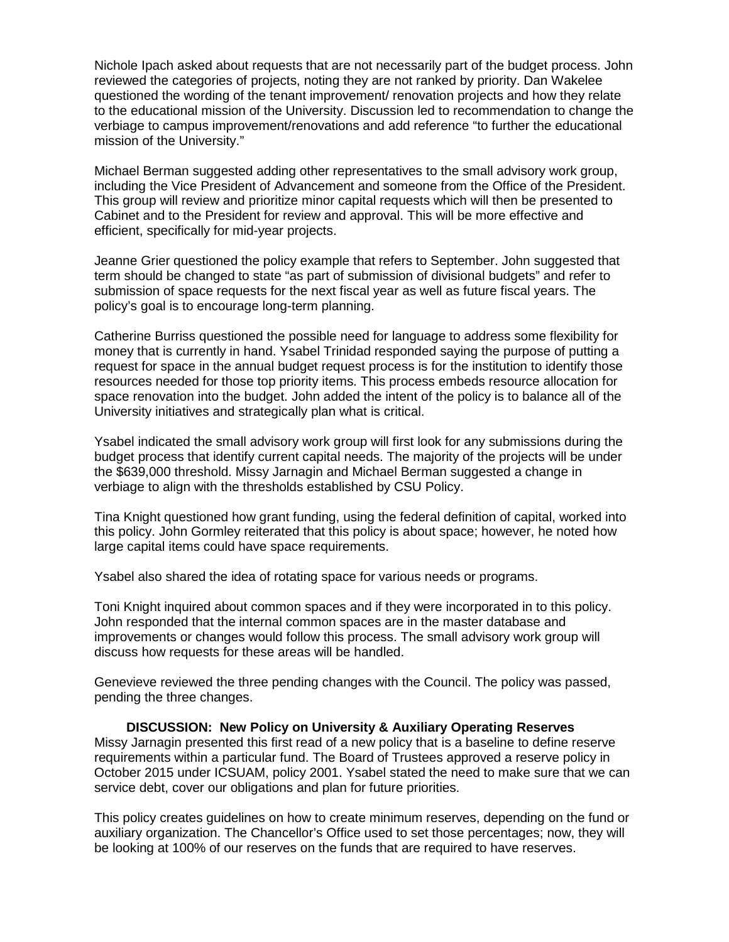Nichole Ipach asked about requests that are not necessarily part of the budget process. John reviewed the categories of projects, noting they are not ranked by priority. Dan Wakelee questioned the wording of the tenant improvement/ renovation projects and how they relate to the educational mission of the University. Discussion led to recommendation to change the verbiage to campus improvement/renovations and add reference "to further the educational mission of the University."

Michael Berman suggested adding other representatives to the small advisory work group, including the Vice President of Advancement and someone from the Office of the President. This group will review and prioritize minor capital requests which will then be presented to Cabinet and to the President for review and approval. This will be more effective and efficient, specifically for mid-year projects.

Jeanne Grier questioned the policy example that refers to September. John suggested that term should be changed to state "as part of submission of divisional budgets" and refer to submission of space requests for the next fiscal year as well as future fiscal years. The policy's goal is to encourage long-term planning.

Catherine Burriss questioned the possible need for language to address some flexibility for money that is currently in hand. Ysabel Trinidad responded saying the purpose of putting a request for space in the annual budget request process is for the institution to identify those resources needed for those top priority items. This process embeds resource allocation for space renovation into the budget. John added the intent of the policy is to balance all of the University initiatives and strategically plan what is critical.

Ysabel indicated the small advisory work group will first look for any submissions during the budget process that identify current capital needs. The majority of the projects will be under the \$639,000 threshold. Missy Jarnagin and Michael Berman suggested a change in verbiage to align with the thresholds established by CSU Policy.

Tina Knight questioned how grant funding, using the federal definition of capital, worked into this policy. John Gormley reiterated that this policy is about space; however, he noted how large capital items could have space requirements.

Ysabel also shared the idea of rotating space for various needs or programs.

Toni Knight inquired about common spaces and if they were incorporated in to this policy. John responded that the internal common spaces are in the master database and improvements or changes would follow this process. The small advisory work group will discuss how requests for these areas will be handled.

Genevieve reviewed the three pending changes with the Council. The policy was passed, pending the three changes.

**DISCUSSION: New Policy on University & Auxiliary Operating Reserves**  Missy Jarnagin presented this first read of a new policy that is a baseline to define reserve requirements within a particular fund. The Board of Trustees approved a reserve policy in October 2015 under ICSUAM, policy 2001. Ysabel stated the need to make sure that we can service debt, cover our obligations and plan for future priorities.

This policy creates guidelines on how to create minimum reserves, depending on the fund or auxiliary organization. The Chancellor's Office used to set those percentages; now, they will be looking at 100% of our reserves on the funds that are required to have reserves.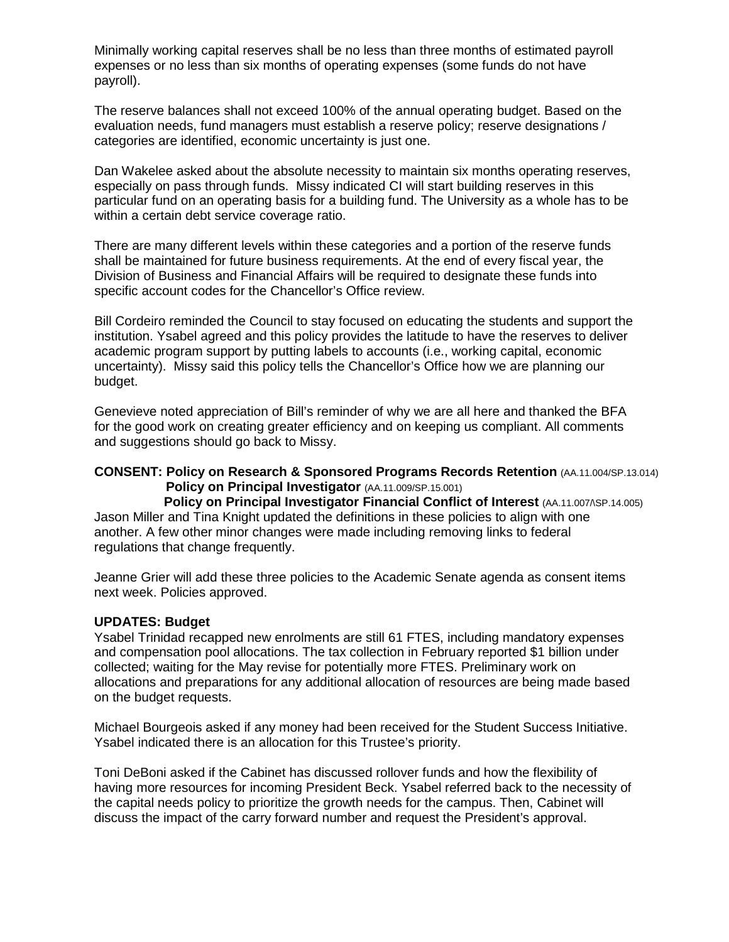Minimally working capital reserves shall be no less than three months of estimated payroll expenses or no less than six months of operating expenses (some funds do not have payroll).

The reserve balances shall not exceed 100% of the annual operating budget. Based on the evaluation needs, fund managers must establish a reserve policy; reserve designations / categories are identified, economic uncertainty is just one.

Dan Wakelee asked about the absolute necessity to maintain six months operating reserves, especially on pass through funds. Missy indicated CI will start building reserves in this particular fund on an operating basis for a building fund. The University as a whole has to be within a certain debt service coverage ratio.

There are many different levels within these categories and a portion of the reserve funds shall be maintained for future business requirements. At the end of every fiscal year, the Division of Business and Financial Affairs will be required to designate these funds into specific account codes for the Chancellor's Office review.

Bill Cordeiro reminded the Council to stay focused on educating the students and support the institution. Ysabel agreed and this policy provides the latitude to have the reserves to deliver academic program support by putting labels to accounts (i.e., working capital, economic uncertainty). Missy said this policy tells the Chancellor's Office how we are planning our budget.

Genevieve noted appreciation of Bill's reminder of why we are all here and thanked the BFA for the good work on creating greater efficiency and on keeping us compliant. All comments and suggestions should go back to Missy.

## **CONSENT: Policy on Research & Sponsored Programs Records Retention** (AA.11.004/SP.13.014) **Policy on Principal Investigator (AA.11.009/SP.15.001)**

**Policy on Principal Investigator Financial Conflict of Interest (AA.11.007/\SP.14.005)** Jason Miller and Tina Knight updated the definitions in these policies to align with one another. A few other minor changes were made including removing links to federal regulations that change frequently.

Jeanne Grier will add these three policies to the Academic Senate agenda as consent items next week. Policies approved.

#### **UPDATES: Budget**

Ysabel Trinidad recapped new enrolments are still 61 FTES, including mandatory expenses and compensation pool allocations. The tax collection in February reported \$1 billion under collected; waiting for the May revise for potentially more FTES. Preliminary work on allocations and preparations for any additional allocation of resources are being made based on the budget requests.

Michael Bourgeois asked if any money had been received for the Student Success Initiative. Ysabel indicated there is an allocation for this Trustee's priority.

Toni DeBoni asked if the Cabinet has discussed rollover funds and how the flexibility of having more resources for incoming President Beck. Ysabel referred back to the necessity of the capital needs policy to prioritize the growth needs for the campus. Then, Cabinet will discuss the impact of the carry forward number and request the President's approval.